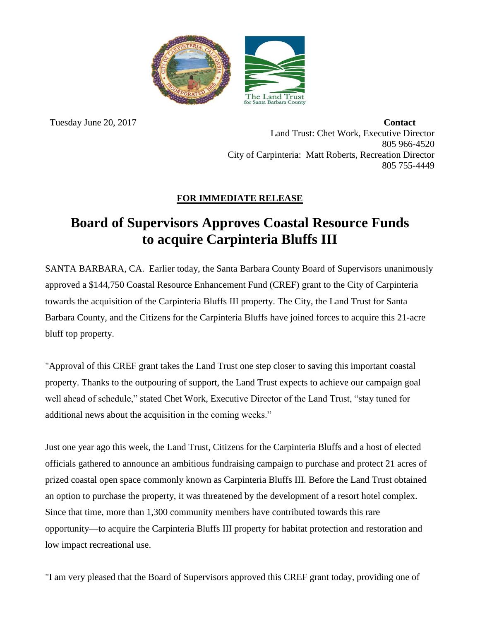

 Tuesday June 20, 2017 **Contact** Land Trust: Chet Work, Executive Director 805 966-4520 City of Carpinteria: Matt Roberts, Recreation Director 805 755-4449

## **FOR IMMEDIATE RELEASE**

## **Board of Supervisors Approves Coastal Resource Funds to acquire Carpinteria Bluffs III**

SANTA BARBARA, CA. Earlier today, the Santa Barbara County Board of Supervisors unanimously approved a \$144,750 Coastal Resource Enhancement Fund (CREF) grant to the City of Carpinteria towards the acquisition of the Carpinteria Bluffs III property. The City, the Land Trust for Santa Barbara County, and the Citizens for the Carpinteria Bluffs have joined forces to acquire this 21-acre bluff top property.

"Approval of this CREF grant takes the Land Trust one step closer to saving this important coastal property. Thanks to the outpouring of support, the Land Trust expects to achieve our campaign goal well ahead of schedule," stated Chet Work, Executive Director of the Land Trust, "stay tuned for additional news about the acquisition in the coming weeks."

Just one year ago this week, the Land Trust, Citizens for the Carpinteria Bluffs and a host of elected officials gathered to announce an ambitious fundraising campaign to purchase and protect 21 acres of prized coastal open space commonly known as Carpinteria Bluffs III. Before the Land Trust obtained an option to purchase the property, it was threatened by the development of a resort hotel complex. Since that time, more than 1,300 community members have contributed towards this rare opportunity—to acquire the Carpinteria Bluffs III property for habitat protection and restoration and low impact recreational use.

"I am very pleased that the Board of Supervisors approved this CREF grant today, providing one of